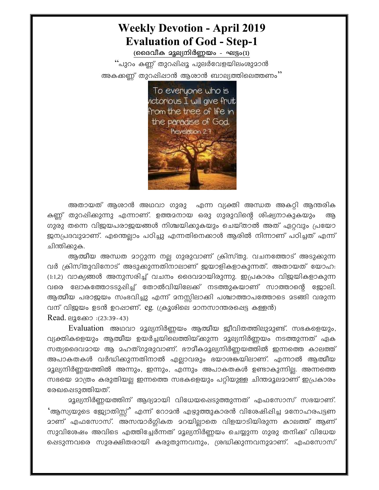## **Weekly Devotion - April 2019 Evaluation of God - Step-1**

(ദൈവീക മൂല്യനിർണ്ണയം - ഘട്ടം(1)

''പുറം കണ്ണ് തുറഷിഷൂ പുലർവേളയിലംശുമാൻ അകക്കണ്ണ് തുറപ്പിപ്പാൻ ആശാൻ ബാല്യത്തിലെത്തണം''



അതായത് ആശാൻ അഥവാ ഗുരു എന്ന വ്യക്തി അന്ധത അകറ്റി ആന്തരിക കണ്ണ് തുറപ്പിക്കുന്നു എന്നാണ്. ഉത്തമനായ ഒരു ഗുരുവിന്റെ ശിഷ്യനാകുകയും ഗുരു തന്നെ വിജയപരാജയങ്ങൾ നിശ്ചയിക്കുകയും ചെയ്താൽ അത് ഏറ്റവും പ്രയോ ജനപ്രദവുമാണ്. എന്തെല്ലാം പഠിച്ചു എന്നതിനെക്കാൾ ആരിൽ നിന്നാണ് പഠിച്ചത് എന്ന് ചിന്തിക്കുക.

ആത്മീയ അന്ധത മാറ്റുന്ന നല്ല ഗുരുവാണ് ക്രിസ്തു. വചനത്തോട് അടുക്കുന്ന വർ ക്രിസ്തുവിനോട് അടുക്കുന്നതിനാലാണ് ജയാളികളാകുന്നത്. അതായത് യോഹ: (1:1,2) വാക്യങ്ങൾ അനുസരിച്ച് വചനം ദൈവമായിരുന്നു. ഇപ്രകാരം വിജയികളാകുന്ന വരെ ലോകത്തോടടുപ്പിച്ച് തോൽവിയിലേക്ക് നടത്തുകയാണ് സാത്താന്റെ ജോലി. ആത്മീയ പരാജയം സംഭവിച്ചു എന്ന് മനസ്സിലാക്കി പശ്ചാത്താപത്തോടെ മടങ്ങി വരുന്ന വന് വിജയം ഉടൻ ഉറപ്പാണ്. eg. (ക്രൂശിലെ മാനസാന്തരപ്പെട്ട കള്ളൻ)

Read. ലൂക്കോ :(23:39-43)

Evaluation അഥവാ മൂല്യനിർണ്ണയം ആത്മീയ ജീവിതത്തിലുമുണ്ട്. സഭകളെയും, വ്യക്തികളെയും ആത്മീയ ഉയർച്ചയിലെത്തിയ്ക്കുന്ന മൂല്യനിർണ്ണയം നടത്തുന്നത് ഏക സത്യദൈവമായ ആ മഹത്ഗുരുവാണ്. ഭൗമീകമൂല്യനിർണ്ണയത്തിൽ ഇന്നത്തെ കാലത്ത് അപാകതകൾ വർദ്ധിക്കുന്നതിനാൽ എല്ലാവരും ഭയാശകയിലാണ്. എന്നാൽ ആത്മീയ മൂല്യനിർണ്ണയത്തിൽ അന്നും, ഇന്നും, എന്നും അപാകതകൾ ഉണ്ടാകുന്നില്ല. അന്നത്തെ സഭയെ മാത്രം കരുതിയല്ല ഇന്നത്തെ സഭകളെയും പറ്റിയുള്ള ചിന്തമൂലമാണ് ഇപ്രകാരം രേഖപ്പെടുത്തിയത്.

മൂല്യനിർണ്ണയത്തിന് ആദ്യമായി വിധേയപ്പെടുത്തുന്നത് എഫസോസ് സഭയാണ്. 'ആസ്യയുടെ ജ്യോതിസ്ല്' എന്ന് റോമൻ എഴുത്തുകാരൻ വിശേഷിഷിച്ച മനോഹരപട്ടണ മാണ് എഫസോസ്. അസന്മാർഗ്ഗികത മറയില്ലാതെ വിളയാടിയിരുന്ന കാലത്ത് ആണ് സുവിശേഷം അവിടെ എത്തിച്ചേർന്നത് മൂല്യനിർണ്ണയം ചെയ്യുന്ന ഗുരു തനിക്ക് വിധേയ ഷെടുന്നവരെ സുരക്ഷിതരായി കരുതുന്നവനും, ശ്രദ്ധിക്കുന്നവനുമാണ്. എഫസോസ്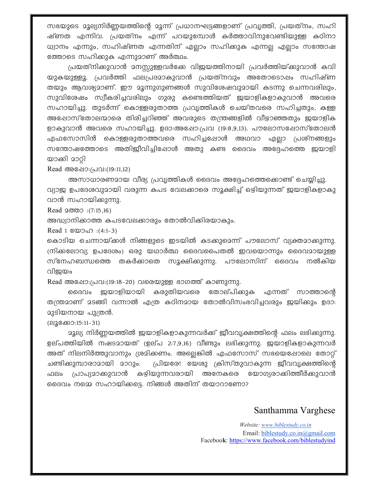സഭയുടെ മൂല്യനിർണ്ണയത്തിന്റെ മൂന്ന് പ്രധാനഘട്ടങ്ങളാണ് പ്രവൃത്തി, പ്രയത്നം, സഹി ഷ്ണത എന്നിവ. പ്രയത്നം എന്ന് പറയുമ്പോൾ കർത്താവിനുവേണ്ടിയുള്ള കഠിനാ ധ്വാനം എന്നും, സഹിഷ്ണത എന്നതിന് എല്ലാം സഹിക്കുക എന്നല്ല എല്ലാം സന്തോഷ ത്തോടെ സഹിക്കുക എന്നുമാണ് അർത്ഥം.

പ്രയത്നിക്കുവാൻ മനസ്സുള്ളവർക്കേ വിജയത്തിനായി പ്രവർത്തിയ്ക്കുവാൻ കവി യുകയുള്ളൂ. പ്രവർത്തി ഫലപ്രദമാകുവാൻ പ്രയത്നവും അതോടൊഷം സഹിഷ്ണ തയും ആവശ്യമാണ്. ഈ മൂന്നുഗുണങ്ങൾ സുവിശേഷവുമായി കടന്നു ചെന്നവരിലും, സുവിശേഷം സ്വീകരിച്ചവരിലും ഗുരു കണ്ടെത്തിയത് ഇയാളികളാകുവാൻ അവരെ സഹായിച്ചു. തുടർന്ന് കൊള്ളരുതാത്ത പ്രവൃത്തികൾ ചെയ്തവരെ സഹിച്ചതും, കള്ള അഷോസ്തോലന്മാരെ തിരിച്ചറിഞ്ഞ് അവരുടെ തന്ത്രങ്ങളിൽ വീഴാഞ്ഞതും ജയാളിക ളാകുവാൻ അവരെ സഹായിച്ചു. ഉദാ:അഷോ:പ്രവ (19:8,9,13). പൗലോസപ്പോസ്തോലൻ എഫസോസിൻ കൊള്ളരുതാത്തവരെ സഹിച്ചപ്പോൾ അഥവാ എല്ലാ പ്രശ്നങ്ങളും സന്തോഷത്തോടെ അതിജീവിച്ചിഷോൾ അതു കണ്ട ദൈവം അദ്ദേഹത്തെ ജയാളി യാക്കി മാറ്റി

Read അഷോ:(പവ:(19:11,12)

അസാധാരണമായ വീര്യ പ്രവൃത്തികൾ ദൈവം അദ്ദേഹത്തെക്കൊണ്ട് ചെയ്യിച്ചു. വ്യാജ ഉപദേശവുമായി വരുന്ന കപട വേലക്കാരെ സൂക്ഷിച്ച് ഒഴിയുന്നത് ജയാളികളാകു വാൻ സഹായിക്കുന്നു.

Read  $20002$  : (7:15,16)

അദ്ധ്വാനിക്കാത്ത കപടവേലക്കാരും തോൽവിക്കിരയാകും.

Read 1  $\&$   $\&$   $\&$   $\&$   $\&$   $\&$   $\&$   $\&$   $\&$   $\&$   $\&$   $\&$   $\&$   $\&$   $\&$   $\&$   $\&$   $\&$   $\&$   $\&$   $\&$   $\&$   $\&$   $\&$   $\&$   $\&$   $\&$   $\&$   $\&$   $\&$   $\&$ 

കൊടിയ ചെന്നായ്ക്കൾ നിങ്ങളുടെ ഇടയിൽ കടക്കുമെന്ന് പൗലോസ് വ്യക്തമാക്കുന്നു. (നിക്കലോവ്യ ഉപദേശം) ഒരു യഥാർത്ഥ ദൈവപൈതൽ ഇവയൊന്നും ദൈവമായുള്ള സ്നേഹബന്ധത്തെ തകർക്കാതെ സൂക്ഷിക്കുന്നു. പൗലോസിന് ദൈവം നൽകിയ വിജയം

Read അഷോ:പ്രവ:(19:18-20) വരെയുള്ള ഭാഗത്ത് കാണുന്നു.

ദൈവം ജയാളിയായി കരുതിയവരെ തോല്പിക്കുക എന്നത് സാത്താന്റെ തന്ത്രമാണ് മടങ്ങി വന്നാൽ എത്ര കഠിനമായ തോൽവിസംഭവിച്ചവരും ഇയിക്കും ഉദാ: **മുടിയനായ പുത്രൻ.** 

(ലൂക്കോ:15:11-31)

മൂല്യ നിർണ്ണയത്തിൽ ജയാളികളാകുന്നവർക്ക് ജീവവൃക്ഷത്തിന്റെ ഫലം ലഭിക്കുന്നു. ഉല്പത്തിയിൽ നഷടമായത് (ഉല്പ 2:7,9,16) വീണ്ടും ലഭിക്കുന്നു. ജയാളികളാകുന്നവർ അത് നിലനിർത്തുവാനും ശ്രമിക്കണം. അല്ലെങ്കിൽ എഫസോസ് സഭയെപ്പോലെ തോറ്റ് പ്രിയരേ! യേശു ക്രിസ്തുവാകുന്ന ജീവവൃക്ഷത്തിന്റെ ചണ്ടിക്കുമ്പാരാമായി മാറും. ഫലം പ്രാപ്യമാക്കുവാൻ കഴിയുന്നവരായി അനേകരെ യോഗ്യരാക്കിത്തീർക്കുവാൻ ദൈവം നമ്മെ സഹായിക്കട്ടെ. നിങ്ങൾ അതിന് തയാറാണോ?

## Santhamma Varghese

Website: www.biblestudy.co.in Email: biblestudy.co.in@gmail.com Facebook: https://www.facebook.com/biblestudyind